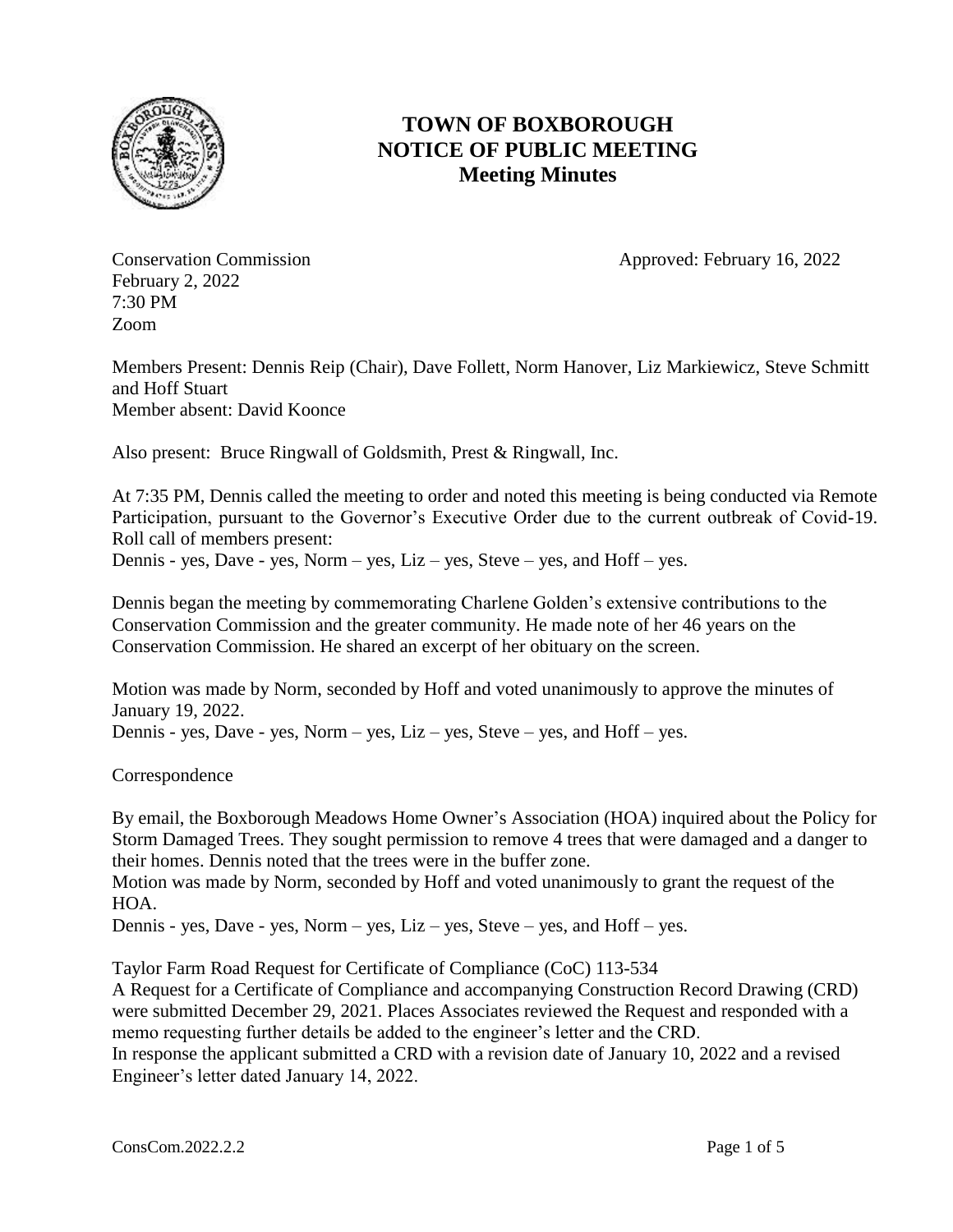

## **TOWN OF BOXBOROUGH NOTICE OF PUBLIC MEETING Meeting Minutes**

February 2, 2022 7:30 PM Zoom

Conservation Commission **Approved: February 16, 2022** 

Members Present: Dennis Reip (Chair), Dave Follett, Norm Hanover, Liz Markiewicz, Steve Schmitt and Hoff Stuart Member absent: David Koonce

Also present: Bruce Ringwall of Goldsmith, Prest & Ringwall, Inc.

At 7:35 PM, Dennis called the meeting to order and noted this meeting is being conducted via Remote Participation, pursuant to the Governor's Executive Order due to the current outbreak of Covid-19. Roll call of members present:

Dennis - yes, Dave - yes, Norm – yes, Liz – yes, Steve – yes, and Hoff – yes.

Dennis began the meeting by commemorating Charlene Golden's extensive contributions to the Conservation Commission and the greater community. He made note of her 46 years on the Conservation Commission. He shared an excerpt of her obituary on the screen.

Motion was made by Norm, seconded by Hoff and voted unanimously to approve the minutes of January 19, 2022. Dennis - yes, Dave - yes, Norm – yes, Liz – yes, Steve – yes, and Hoff – yes.

Correspondence

By email, the Boxborough Meadows Home Owner's Association (HOA) inquired about the Policy for Storm Damaged Trees. They sought permission to remove 4 trees that were damaged and a danger to their homes. Dennis noted that the trees were in the buffer zone.

Motion was made by Norm, seconded by Hoff and voted unanimously to grant the request of the HOA.

Dennis - yes, Dave - yes, Norm – yes, Liz – yes, Steve – yes, and Hoff – yes.

Taylor Farm Road Request for Certificate of Compliance (CoC) 113-534

A Request for a Certificate of Compliance and accompanying Construction Record Drawing (CRD) were submitted December 29, 2021. Places Associates reviewed the Request and responded with a memo requesting further details be added to the engineer's letter and the CRD.

In response the applicant submitted a CRD with a revision date of January 10, 2022 and a revised Engineer's letter dated January 14, 2022.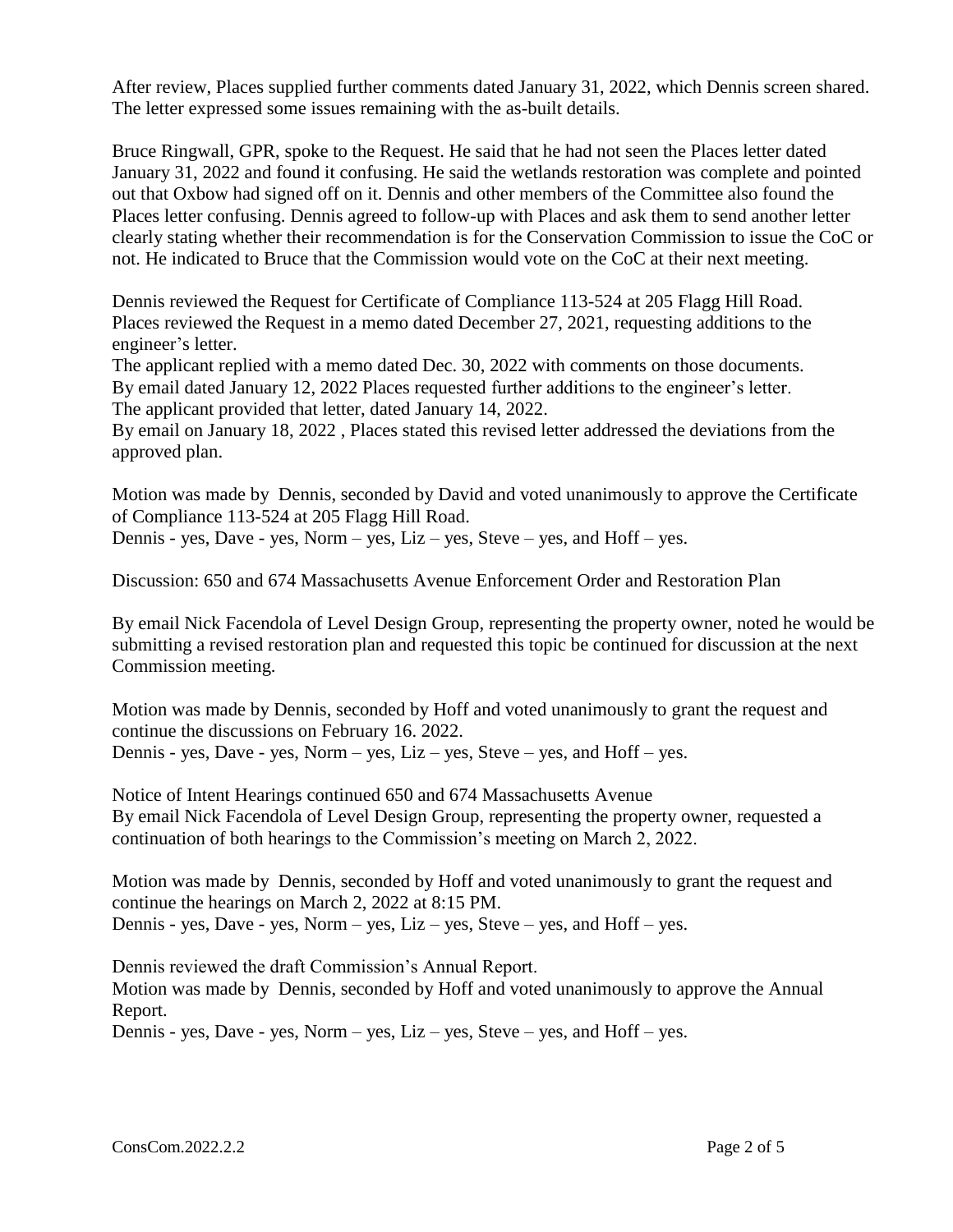After review, Places supplied further comments dated January 31, 2022, which Dennis screen shared. The letter expressed some issues remaining with the as-built details.

Bruce Ringwall, GPR, spoke to the Request. He said that he had not seen the Places letter dated January 31, 2022 and found it confusing. He said the wetlands restoration was complete and pointed out that Oxbow had signed off on it. Dennis and other members of the Committee also found the Places letter confusing. Dennis agreed to follow-up with Places and ask them to send another letter clearly stating whether their recommendation is for the Conservation Commission to issue the CoC or not. He indicated to Bruce that the Commission would vote on the CoC at their next meeting.

Dennis reviewed the Request for Certificate of Compliance 113-524 at 205 Flagg Hill Road. Places reviewed the Request in a memo dated December 27, 2021, requesting additions to the engineer's letter.

The applicant replied with a memo dated Dec. 30, 2022 with comments on those documents. By email dated January 12, 2022 Places requested further additions to the engineer's letter. The applicant provided that letter, dated January 14, 2022.

By email on January 18, 2022 , Places stated this revised letter addressed the deviations from the approved plan.

Motion was made by Dennis, seconded by David and voted unanimously to approve the Certificate of Compliance 113-524 at 205 Flagg Hill Road. Dennis - yes, Dave - yes, Norm – yes, Liz – yes, Steve – yes, and Hoff – yes.

Discussion: 650 and 674 Massachusetts Avenue Enforcement Order and Restoration Plan

By email Nick Facendola of Level Design Group, representing the property owner, noted he would be submitting a revised restoration plan and requested this topic be continued for discussion at the next Commission meeting.

Motion was made by Dennis, seconded by Hoff and voted unanimously to grant the request and continue the discussions on February 16. 2022. Dennis - yes, Dave - yes, Norm – yes, Liz – yes, Steve – yes, and Hoff – yes.

Notice of Intent Hearings continued 650 and 674 Massachusetts Avenue By email Nick Facendola of Level Design Group, representing the property owner, requested a continuation of both hearings to the Commission's meeting on March 2, 2022.

Motion was made by Dennis, seconded by Hoff and voted unanimously to grant the request and continue the hearings on March 2, 2022 at 8:15 PM. Dennis - yes, Dave - yes, Norm – yes, Liz – yes, Steve – yes, and Hoff – yes.

Dennis reviewed the draft Commission's Annual Report.

Motion was made by Dennis, seconded by Hoff and voted unanimously to approve the Annual Report.

Dennis - yes, Dave - yes, Norm – yes, Liz – yes, Steve – yes, and Hoff – yes.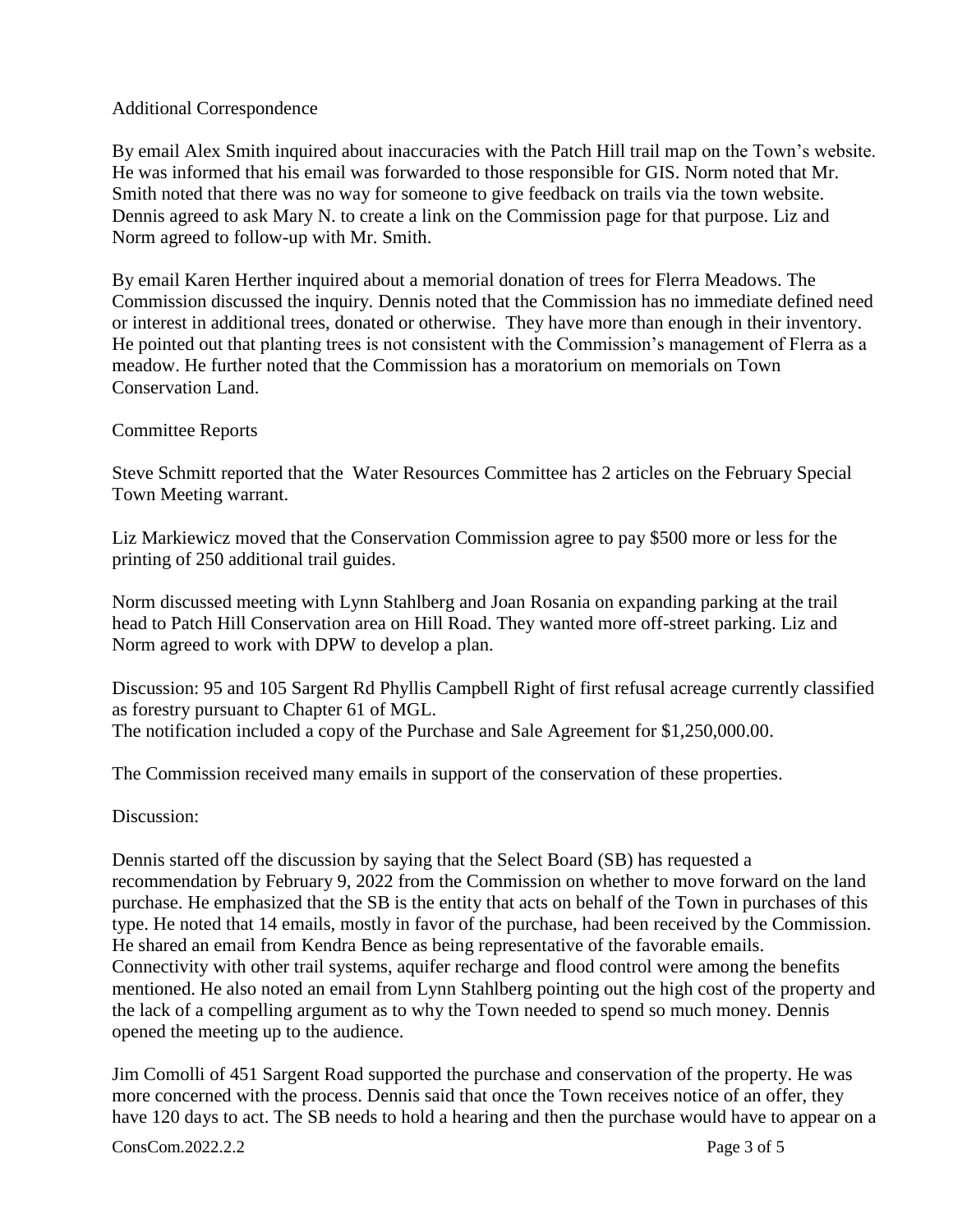## Additional Correspondence

By email Alex Smith inquired about inaccuracies with the Patch Hill trail map on the Town's website. He was informed that his email was forwarded to those responsible for GIS. Norm noted that Mr. Smith noted that there was no way for someone to give feedback on trails via the town website. Dennis agreed to ask Mary N. to create a link on the Commission page for that purpose. Liz and Norm agreed to follow-up with Mr. Smith.

By email Karen Herther inquired about a memorial donation of trees for Flerra Meadows. The Commission discussed the inquiry. Dennis noted that the Commission has no immediate defined need or interest in additional trees, donated or otherwise. They have more than enough in their inventory. He pointed out that planting trees is not consistent with the Commission's management of Flerra as a meadow. He further noted that the Commission has a moratorium on memorials on Town Conservation Land.

## Committee Reports

Steve Schmitt reported that the Water Resources Committee has 2 articles on the February Special Town Meeting warrant.

Liz Markiewicz moved that the Conservation Commission agree to pay \$500 more or less for the printing of 250 additional trail guides.

Norm discussed meeting with Lynn Stahlberg and Joan Rosania on expanding parking at the trail head to Patch Hill Conservation area on Hill Road. They wanted more off-street parking. Liz and Norm agreed to work with DPW to develop a plan.

Discussion: 95 and 105 Sargent Rd Phyllis Campbell Right of first refusal acreage currently classified as forestry pursuant to Chapter 61 of MGL. The notification included a copy of the Purchase and Sale Agreement for \$1,250,000.00.

The Commission received many emails in support of the conservation of these properties.

## Discussion:

Dennis started off the discussion by saying that the Select Board (SB) has requested a recommendation by February 9, 2022 from the Commission on whether to move forward on the land purchase. He emphasized that the SB is the entity that acts on behalf of the Town in purchases of this type. He noted that 14 emails, mostly in favor of the purchase, had been received by the Commission. He shared an email from Kendra Bence as being representative of the favorable emails. Connectivity with other trail systems, aquifer recharge and flood control were among the benefits mentioned. He also noted an email from Lynn Stahlberg pointing out the high cost of the property and the lack of a compelling argument as to why the Town needed to spend so much money. Dennis opened the meeting up to the audience.

Jim Comolli of 451 Sargent Road supported the purchase and conservation of the property. He was more concerned with the process. Dennis said that once the Town receives notice of an offer, they have 120 days to act. The SB needs to hold a hearing and then the purchase would have to appear on a

**ConsCom.2022.2.2** Page 3 of 5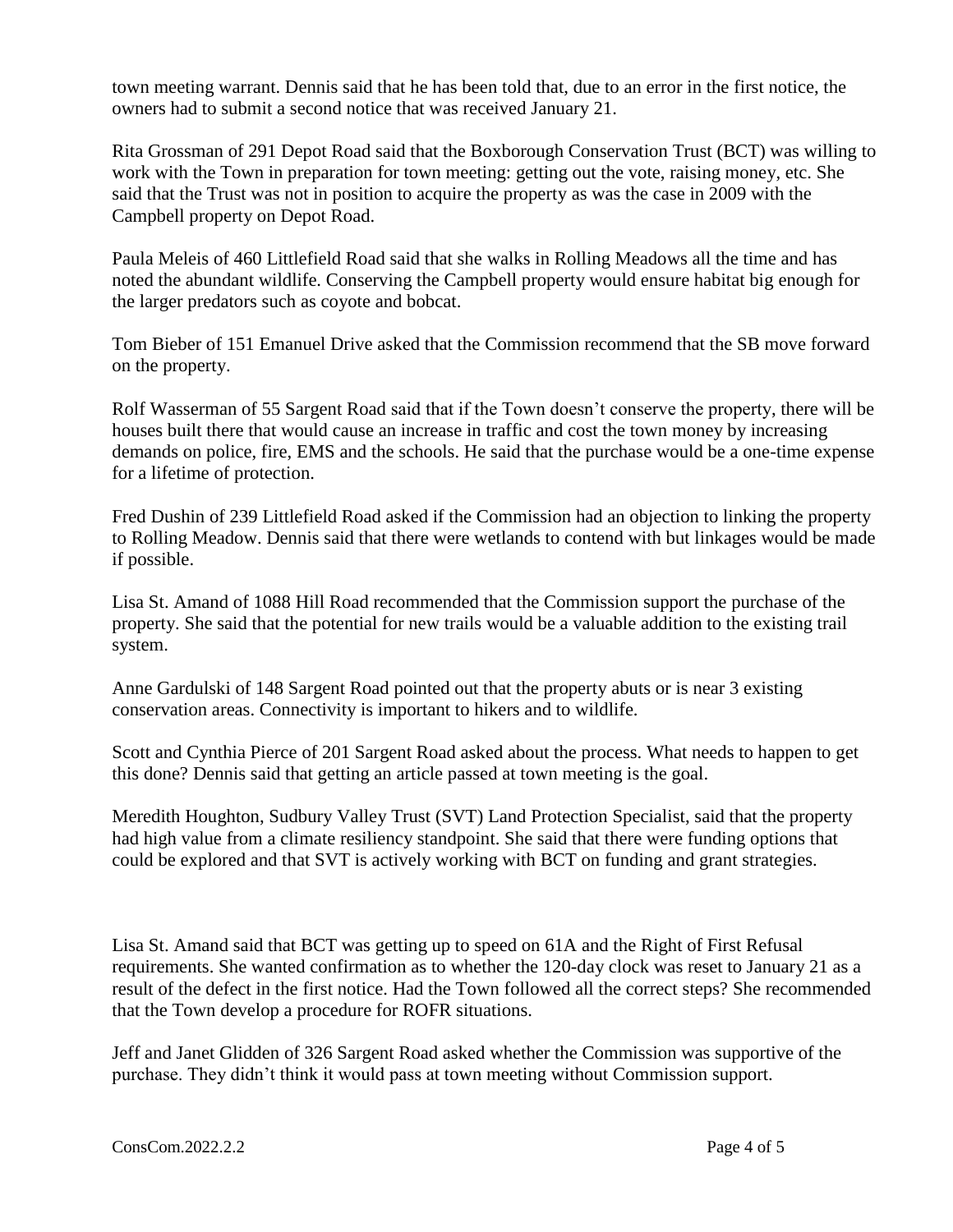town meeting warrant. Dennis said that he has been told that, due to an error in the first notice, the owners had to submit a second notice that was received January 21.

Rita Grossman of 291 Depot Road said that the Boxborough Conservation Trust (BCT) was willing to work with the Town in preparation for town meeting: getting out the vote, raising money, etc. She said that the Trust was not in position to acquire the property as was the case in 2009 with the Campbell property on Depot Road.

Paula Meleis of 460 Littlefield Road said that she walks in Rolling Meadows all the time and has noted the abundant wildlife. Conserving the Campbell property would ensure habitat big enough for the larger predators such as coyote and bobcat.

Tom Bieber of 151 Emanuel Drive asked that the Commission recommend that the SB move forward on the property.

Rolf Wasserman of 55 Sargent Road said that if the Town doesn't conserve the property, there will be houses built there that would cause an increase in traffic and cost the town money by increasing demands on police, fire, EMS and the schools. He said that the purchase would be a one-time expense for a lifetime of protection.

Fred Dushin of 239 Littlefield Road asked if the Commission had an objection to linking the property to Rolling Meadow. Dennis said that there were wetlands to contend with but linkages would be made if possible.

Lisa St. Amand of 1088 Hill Road recommended that the Commission support the purchase of the property. She said that the potential for new trails would be a valuable addition to the existing trail system.

Anne Gardulski of 148 Sargent Road pointed out that the property abuts or is near 3 existing conservation areas. Connectivity is important to hikers and to wildlife.

Scott and Cynthia Pierce of 201 Sargent Road asked about the process. What needs to happen to get this done? Dennis said that getting an article passed at town meeting is the goal.

Meredith Houghton, Sudbury Valley Trust (SVT) Land Protection Specialist, said that the property had high value from a climate resiliency standpoint. She said that there were funding options that could be explored and that SVT is actively working with BCT on funding and grant strategies.

Lisa St. Amand said that BCT was getting up to speed on 61A and the Right of First Refusal requirements. She wanted confirmation as to whether the 120-day clock was reset to January 21 as a result of the defect in the first notice. Had the Town followed all the correct steps? She recommended that the Town develop a procedure for ROFR situations.

Jeff and Janet Glidden of 326 Sargent Road asked whether the Commission was supportive of the purchase. They didn't think it would pass at town meeting without Commission support.